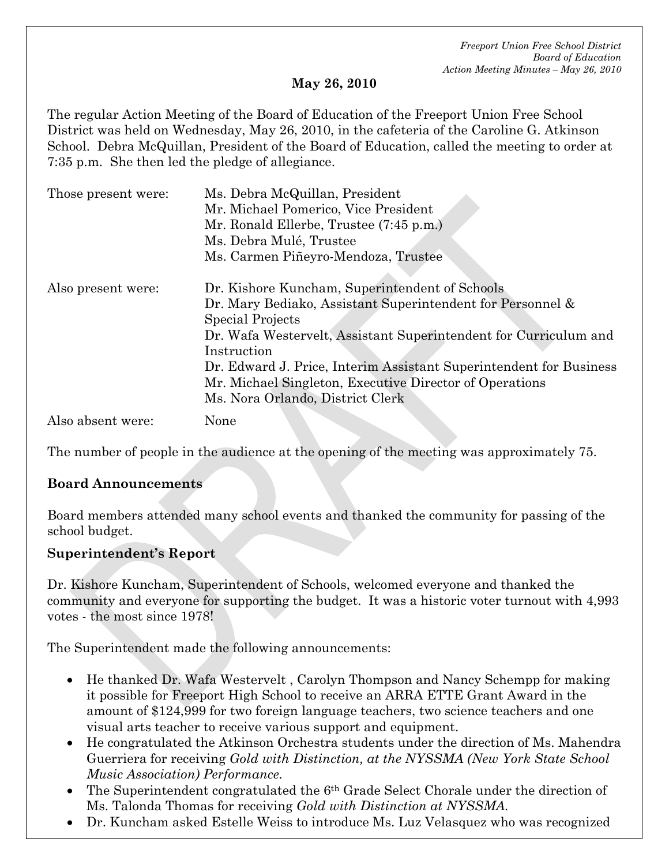#### **May 26, 2010**

The regular Action Meeting of the Board of Education of the Freeport Union Free School District was held on Wednesday, May 26, 2010, in the cafeteria of the Caroline G. Atkinson School. Debra McQuillan, President of the Board of Education, called the meeting to order at 7:35 p.m. She then led the pledge of allegiance.

| Those present were: | Ms. Debra McQuillan, President                                     |
|---------------------|--------------------------------------------------------------------|
|                     | Mr. Michael Pomerico, Vice President                               |
|                     | Mr. Ronald Ellerbe, Trustee (7:45 p.m.)                            |
|                     | Ms. Debra Mulé, Trustee                                            |
|                     | Ms. Carmen Piñeyro-Mendoza, Trustee                                |
| Also present were:  | Dr. Kishore Kuncham, Superintendent of Schools                     |
|                     | Dr. Mary Bediako, Assistant Superintendent for Personnel &         |
|                     | Special Projects                                                   |
|                     | Dr. Wafa Westervelt, Assistant Superintendent for Curriculum and   |
|                     | Instruction                                                        |
|                     | Dr. Edward J. Price, Interim Assistant Superintendent for Business |
|                     | Mr. Michael Singleton, Executive Director of Operations            |
|                     | Ms. Nora Orlando, District Clerk                                   |
| Also absent were:   | None                                                               |

The number of people in the audience at the opening of the meeting was approximately 75.

#### **Board Announcements**

Board members attended many school events and thanked the community for passing of the school budget.

#### **Superintendent's Report**

Dr. Kishore Kuncham, Superintendent of Schools, welcomed everyone and thanked the community and everyone for supporting the budget. It was a historic voter turnout with 4,993 votes - the most since 1978!

The Superintendent made the following announcements:

- He thanked Dr. Wafa Westervelt , Carolyn Thompson and Nancy Schempp for making it possible for Freeport High School to receive an ARRA ETTE Grant Award in the amount of \$124,999 for two foreign language teachers, two science teachers and one visual arts teacher to receive various support and equipment.
- He congratulated the Atkinson Orchestra students under the direction of Ms. Mahendra Guerriera for receiving *Gold with Distinction, at the NYSSMA (New York State School Music Association) Performance.*
- The Superintendent congratulated the 6<sup>th</sup> Grade Select Chorale under the direction of Ms. Talonda Thomas for receiving *Gold with Distinction at NYSSMA.*
- Dr. Kuncham asked Estelle Weiss to introduce Ms. Luz Velasquez who was recognized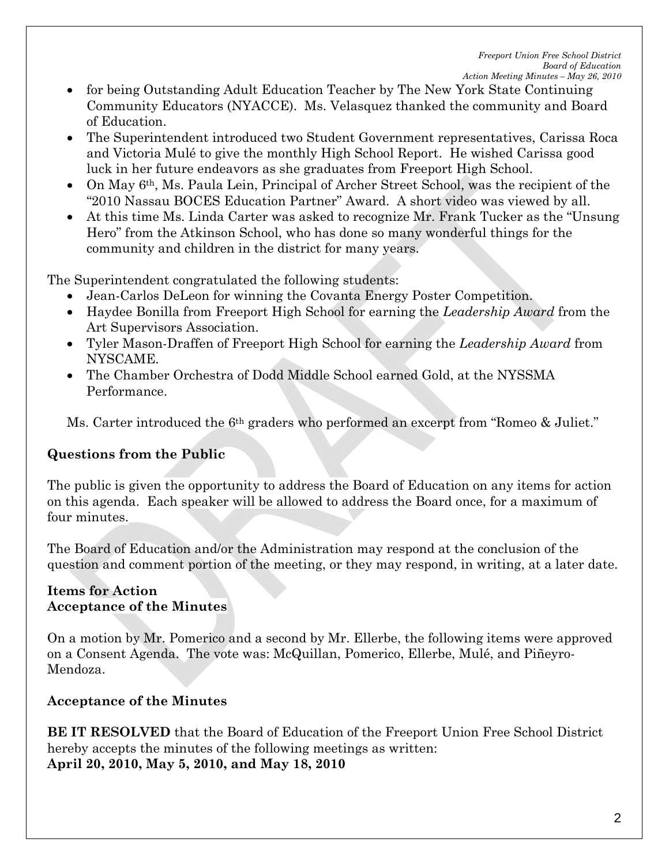- for being Outstanding Adult Education Teacher by The New York State Continuing Community Educators (NYACCE). Ms. Velasquez thanked the community and Board of Education.
- The Superintendent introduced two Student Government representatives, Carissa Roca and Victoria Mulé to give the monthly High School Report. He wished Carissa good luck in her future endeavors as she graduates from Freeport High School.
- On May 6th, Ms. Paula Lein, Principal of Archer Street School, was the recipient of the "2010 Nassau BOCES Education Partner" Award. A short video was viewed by all.
- At this time Ms. Linda Carter was asked to recognize Mr. Frank Tucker as the "Unsung Hero" from the Atkinson School, who has done so many wonderful things for the community and children in the district for many years.

The Superintendent congratulated the following students:

- Jean-Carlos DeLeon for winning the Covanta Energy Poster Competition.
- Haydee Bonilla from Freeport High School for earning the *Leadership Award* from the Art Supervisors Association.
- Tyler Mason-Draffen of Freeport High School for earning the *Leadership Award* from NYSCAME.
- The Chamber Orchestra of Dodd Middle School earned Gold, at the NYSSMA Performance.

Ms. Carter introduced the 6th graders who performed an excerpt from "Romeo & Juliet."

## **Questions from the Public**

The public is given the opportunity to address the Board of Education on any items for action on this agenda. Each speaker will be allowed to address the Board once, for a maximum of four minutes.

The Board of Education and/or the Administration may respond at the conclusion of the question and comment portion of the meeting, or they may respond, in writing, at a later date.

#### **Items for Action Acceptance of the Minutes**

On a motion by Mr. Pomerico and a second by Mr. Ellerbe, the following items were approved on a Consent Agenda. The vote was: McQuillan, Pomerico, Ellerbe, Mulé, and Piñeyro-Mendoza.

### **Acceptance of the Minutes**

**BE IT RESOLVED** that the Board of Education of the Freeport Union Free School District hereby accepts the minutes of the following meetings as written: **April 20, 2010, May 5, 2010, and May 18, 2010**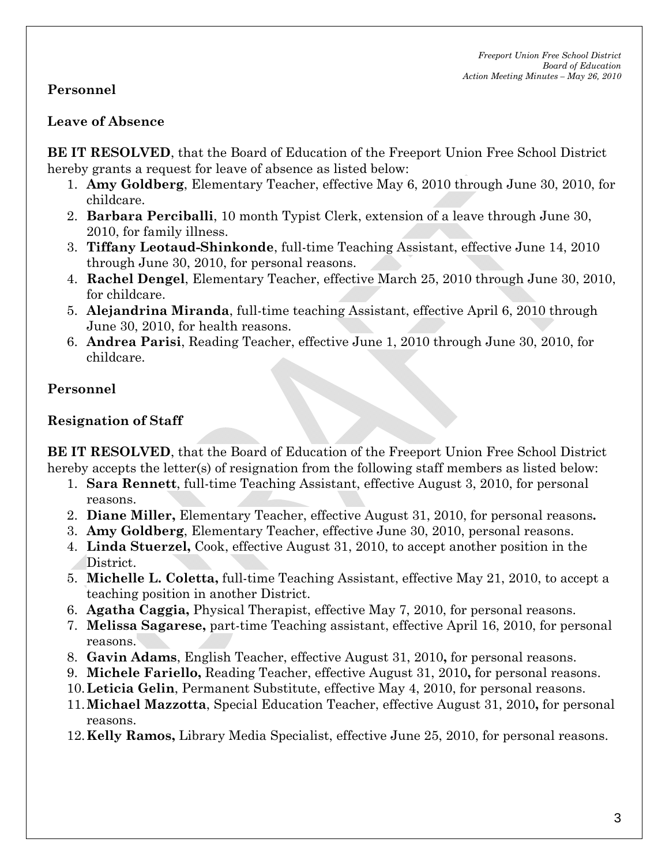## **Personnel**

#### **Leave of Absence**

**BE IT RESOLVED**, that the Board of Education of the Freeport Union Free School District hereby grants a request for leave of absence as listed below:

- 1. **Amy Goldberg**, Elementary Teacher, effective May 6, 2010 through June 30, 2010, for childcare.
- 2. **Barbara Perciballi**, 10 month Typist Clerk, extension of a leave through June 30, 2010, for family illness.
- 3. **Tiffany Leotaud-Shinkonde**, full-time Teaching Assistant, effective June 14, 2010 through June 30, 2010, for personal reasons.
- 4. **Rachel Dengel**, Elementary Teacher, effective March 25, 2010 through June 30, 2010, for childcare.
- 5. **Alejandrina Miranda**, full-time teaching Assistant, effective April 6, 2010 through June 30, 2010, for health reasons.
- 6. **Andrea Parisi**, Reading Teacher, effective June 1, 2010 through June 30, 2010, for childcare.

## **Personnel**

### **Resignation of Staff**

**BE IT RESOLVED**, that the Board of Education of the Freeport Union Free School District hereby accepts the letter(s) of resignation from the following staff members as listed below:

- 1. **Sara Rennett**, full-time Teaching Assistant, effective August 3, 2010, for personal reasons.
- 2. **Diane Miller,** Elementary Teacher, effective August 31, 2010, for personal reasons**.**
- 3. **Amy Goldberg**, Elementary Teacher, effective June 30, 2010, personal reasons.
- 4. **Linda Stuerzel,** Cook, effective August 31, 2010, to accept another position in the District.
- 5. **Michelle L. Coletta,** full-time Teaching Assistant, effective May 21, 2010, to accept a teaching position in another District.
- 6. **Agatha Caggia,** Physical Therapist, effective May 7, 2010, for personal reasons.
- 7. **Melissa Sagarese,** part-time Teaching assistant, effective April 16, 2010, for personal reasons.
- 8. **Gavin Adams**, English Teacher, effective August 31, 2010**,** for personal reasons.
- 9. **Michele Fariello,** Reading Teacher, effective August 31, 2010**,** for personal reasons.
- 10.**Leticia Gelin**, Permanent Substitute, effective May 4, 2010, for personal reasons.
- 11.**Michael Mazzotta**, Special Education Teacher, effective August 31, 2010**,** for personal reasons.
- 12.**Kelly Ramos,** Library Media Specialist, effective June 25, 2010, for personal reasons.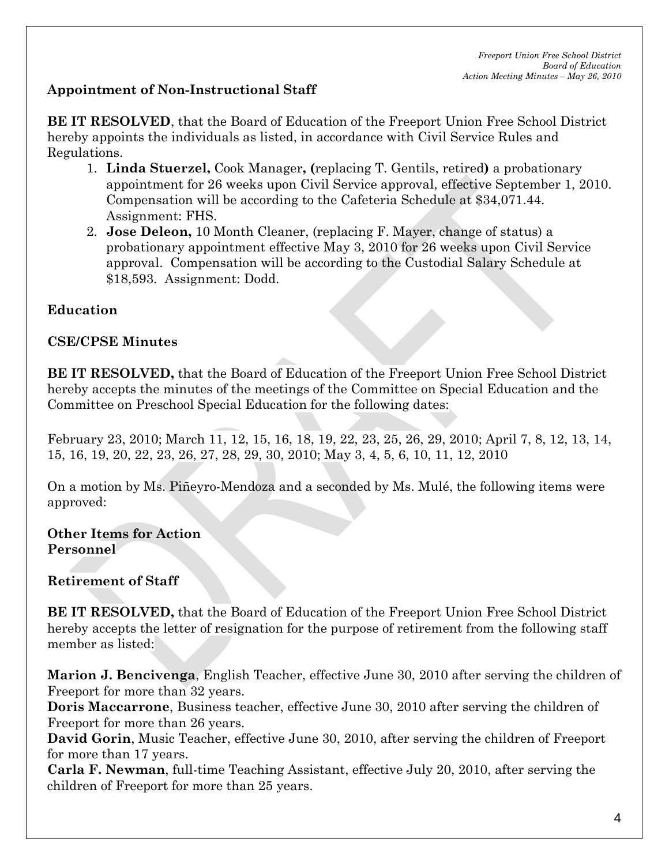# **Appointment of Non-Instructional Staff**

**BE IT RESOLVED**, that the Board of Education of the Freeport Union Free School District hereby appoints the individuals as listed, in accordance with Civil Service Rules and Regulations.

- 1. **Linda Stuerzel,** Cook Manager**, (**replacing T. Gentils, retired**)** a probationary appointment for 26 weeks upon Civil Service approval, effective September 1, 2010. Compensation will be according to the Cafeteria Schedule at \$34,071.44. Assignment: FHS.
- 2. **Jose Deleon,** 10 Month Cleaner, (replacing F. Mayer, change of status) a probationary appointment effective May 3, 2010 for 26 weeks upon Civil Service approval. Compensation will be according to the Custodial Salary Schedule at \$18,593. Assignment: Dodd.

## **Education**

## **CSE/CPSE Minutes**

**BE IT RESOLVED,** that the Board of Education of the Freeport Union Free School District hereby accepts the minutes of the meetings of the Committee on Special Education and the Committee on Preschool Special Education for the following dates:

February 23, 2010; March 11, 12, 15, 16, 18, 19, 22, 23, 25, 26, 29, 2010; April 7, 8, 12, 13, 14, 15, 16, 19, 20, 22, 23, 26, 27, 28, 29, 30, 2010; May 3, 4, 5, 6, 10, 11, 12, 2010

On a motion by Ms. Piñeyro-Mendoza and a seconded by Ms. Mulé, the following items were approved:

**Other Items for Action Personnel** 

**Retirement of Staff** 

**BE IT RESOLVED,** that the Board of Education of the Freeport Union Free School District hereby accepts the letter of resignation for the purpose of retirement from the following staff member as listed:

**Marion J. Bencivenga**, English Teacher, effective June 30, 2010 after serving the children of Freeport for more than 32 years.

**Doris Maccarrone**, Business teacher, effective June 30, 2010 after serving the children of Freeport for more than 26 years.

**David Gorin**, Music Teacher, effective June 30, 2010, after serving the children of Freeport for more than 17 years.

**Carla F. Newman**, full-time Teaching Assistant, effective July 20, 2010, after serving the children of Freeport for more than 25 years.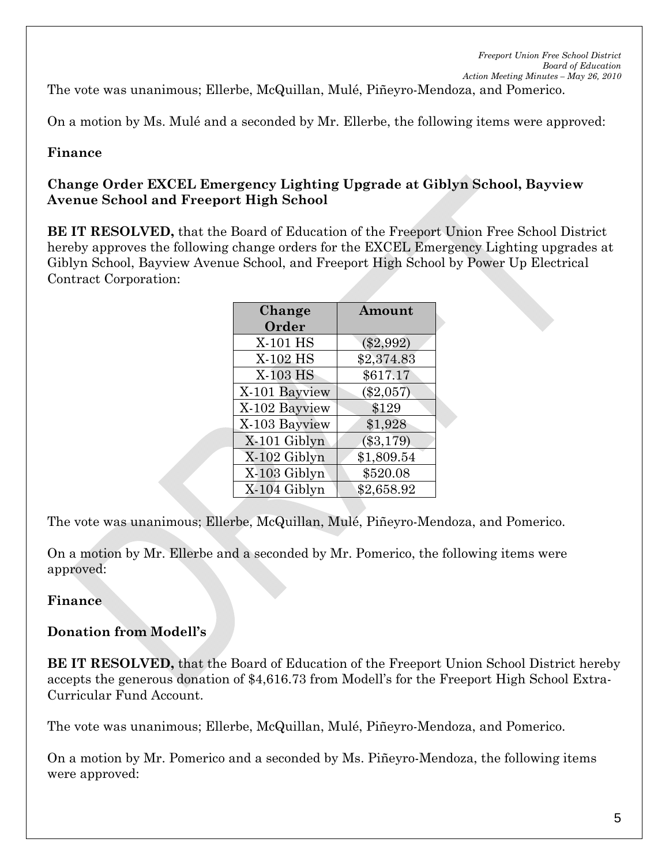The vote was unanimous; Ellerbe, McQuillan, Mulé, Piñeyro-Mendoza, and Pomerico.

On a motion by Ms. Mulé and a seconded by Mr. Ellerbe, the following items were approved:

#### **Finance**

#### **Change Order EXCEL Emergency Lighting Upgrade at Giblyn School, Bayview Avenue School and Freeport High School**

**BE IT RESOLVED,** that the Board of Education of the Freeport Union Free School District hereby approves the following change orders for the EXCEL Emergency Lighting upgrades at Giblyn School, Bayview Avenue School, and Freeport High School by Power Up Electrical Contract Corporation:

| Change        | Amount      |  |
|---------------|-------------|--|
| Order         |             |  |
| X-101 HS      | $(\$2,992)$ |  |
| X-102 HS      | \$2,374.83  |  |
| X-103 HS      | \$617.17    |  |
| X-101 Bayview | $(\$2,057)$ |  |
| X-102 Bayview | \$129       |  |
| X-103 Bayview | \$1,928     |  |
| X-101 Giblyn  | $(\$3,179)$ |  |
| X-102 Giblyn  | \$1,809.54  |  |
| X-103 Giblyn  | \$520.08    |  |
| X-104 Giblyn  | \$2,658.92  |  |

The vote was unanimous; Ellerbe, McQuillan, Mulé, Piñeyro-Mendoza, and Pomerico.

On a motion by Mr. Ellerbe and a seconded by Mr. Pomerico, the following items were approved:

#### **Finance**

#### **Donation from Modell's**

**BE IT RESOLVED,** that the Board of Education of the Freeport Union School District hereby accepts the generous donation of \$4,616.73 from Modell's for the Freeport High School Extra-Curricular Fund Account.

The vote was unanimous; Ellerbe, McQuillan, Mulé, Piñeyro-Mendoza, and Pomerico.

On a motion by Mr. Pomerico and a seconded by Ms. Piñeyro-Mendoza, the following items were approved: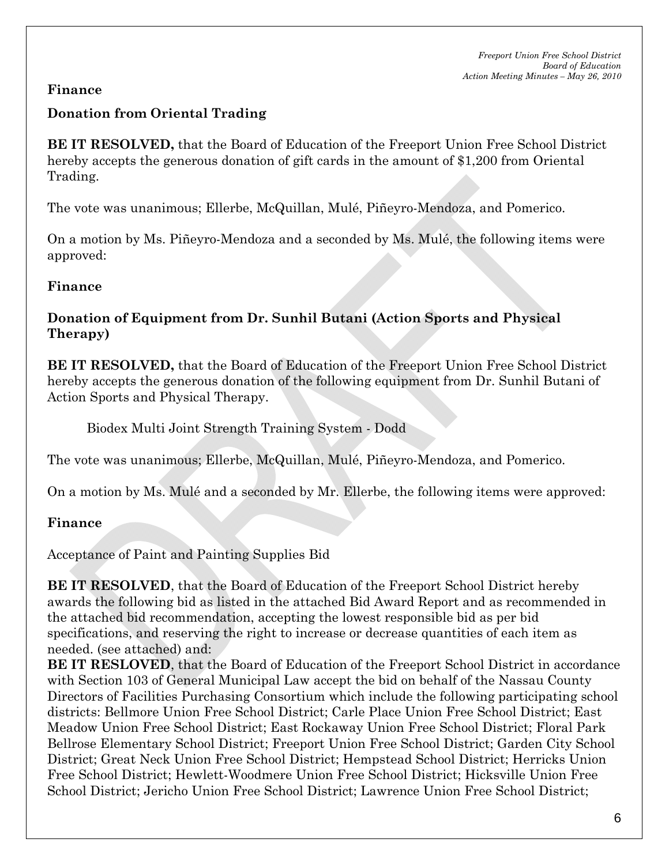## **Finance**

## **Donation from Oriental Trading**

**BE IT RESOLVED,** that the Board of Education of the Freeport Union Free School District hereby accepts the generous donation of gift cards in the amount of \$1,200 from Oriental Trading.

The vote was unanimous; Ellerbe, McQuillan, Mulé, Piñeyro-Mendoza, and Pomerico.

On a motion by Ms. Piñeyro-Mendoza and a seconded by Ms. Mulé, the following items were approved:

### **Finance**

### **Donation of Equipment from Dr. Sunhil Butani (Action Sports and Physical Therapy)**

**BE IT RESOLVED,** that the Board of Education of the Freeport Union Free School District hereby accepts the generous donation of the following equipment from Dr. Sunhil Butani of Action Sports and Physical Therapy.

Biodex Multi Joint Strength Training System - Dodd

The vote was unanimous; Ellerbe, McQuillan, Mulé, Piñeyro-Mendoza, and Pomerico.

On a motion by Ms. Mulé and a seconded by Mr. Ellerbe, the following items were approved:

### **Finance**

Acceptance of Paint and Painting Supplies Bid

**BE IT RESOLVED**, that the Board of Education of the Freeport School District hereby awards the following bid as listed in the attached Bid Award Report and as recommended in the attached bid recommendation, accepting the lowest responsible bid as per bid specifications, and reserving the right to increase or decrease quantities of each item as needed. (see attached) and:

**BE IT RESLOVED**, that the Board of Education of the Freeport School District in accordance with Section 103 of General Municipal Law accept the bid on behalf of the Nassau County Directors of Facilities Purchasing Consortium which include the following participating school districts: Bellmore Union Free School District; Carle Place Union Free School District; East Meadow Union Free School District; East Rockaway Union Free School District; Floral Park Bellrose Elementary School District; Freeport Union Free School District; Garden City School District; Great Neck Union Free School District; Hempstead School District; Herricks Union Free School District; Hewlett-Woodmere Union Free School District; Hicksville Union Free School District; Jericho Union Free School District; Lawrence Union Free School District;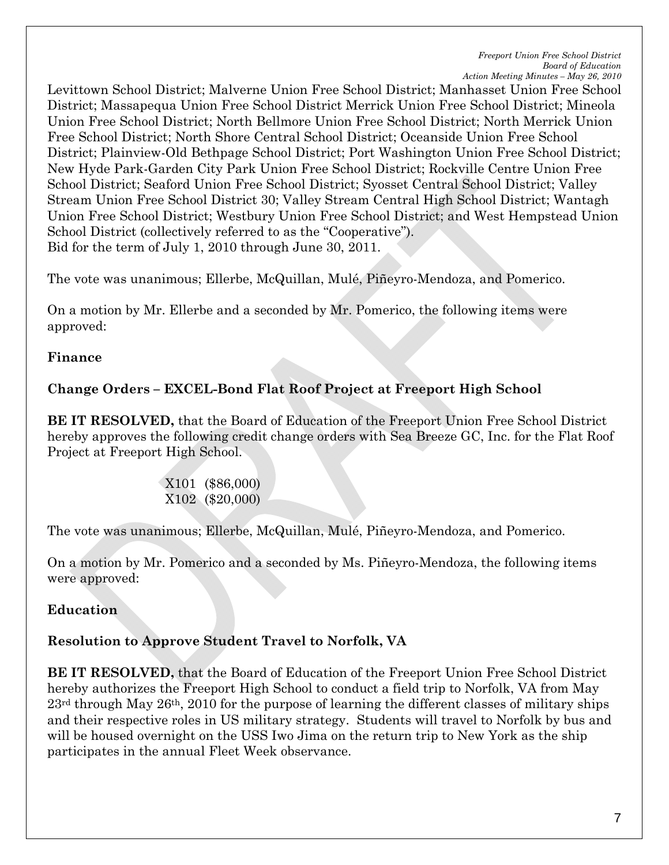Levittown School District; Malverne Union Free School District; Manhasset Union Free School District; Massapequa Union Free School District Merrick Union Free School District; Mineola Union Free School District; North Bellmore Union Free School District; North Merrick Union Free School District; North Shore Central School District; Oceanside Union Free School District; Plainview-Old Bethpage School District; Port Washington Union Free School District; New Hyde Park-Garden City Park Union Free School District; Rockville Centre Union Free School District; Seaford Union Free School District; Syosset Central School District; Valley Stream Union Free School District 30; Valley Stream Central High School District; Wantagh Union Free School District; Westbury Union Free School District; and West Hempstead Union School District (collectively referred to as the "Cooperative"). Bid for the term of July 1, 2010 through June 30, 2011.

The vote was unanimous; Ellerbe, McQuillan, Mulé, Piñeyro-Mendoza, and Pomerico.

On a motion by Mr. Ellerbe and a seconded by Mr. Pomerico, the following items were approved:

#### **Finance**

### **Change Orders – EXCEL-Bond Flat Roof Project at Freeport High School**

**BE IT RESOLVED,** that the Board of Education of the Freeport Union Free School District hereby approves the following credit change orders with Sea Breeze GC, Inc. for the Flat Roof Project at Freeport High School.

> X101 (\$86,000) X102 (\$20,000)

The vote was unanimous; Ellerbe, McQuillan, Mulé, Piñeyro-Mendoza, and Pomerico.

On a motion by Mr. Pomerico and a seconded by Ms. Piñeyro-Mendoza, the following items were approved:

#### **Education**

### **Resolution to Approve Student Travel to Norfolk, VA**

**BE IT RESOLVED,** that the Board of Education of the Freeport Union Free School District hereby authorizes the Freeport High School to conduct a field trip to Norfolk, VA from May 23rd through May 26th, 2010 for the purpose of learning the different classes of military ships and their respective roles in US military strategy. Students will travel to Norfolk by bus and will be housed overnight on the USS Iwo Jima on the return trip to New York as the ship participates in the annual Fleet Week observance.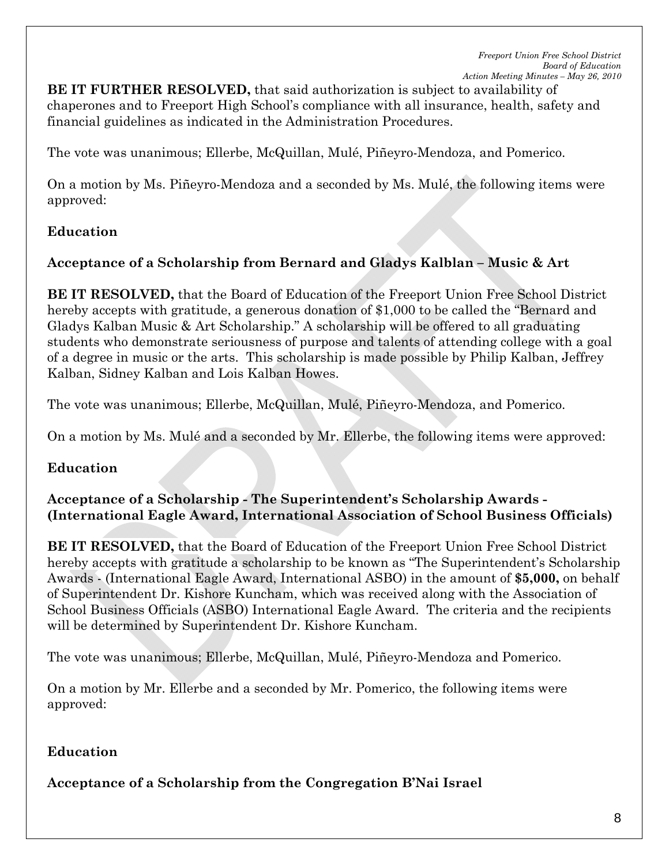**BE IT FURTHER RESOLVED,** that said authorization is subject to availability of chaperones and to Freeport High School's compliance with all insurance, health, safety and financial guidelines as indicated in the Administration Procedures.

The vote was unanimous; Ellerbe, McQuillan, Mulé, Piñeyro-Mendoza, and Pomerico.

On a motion by Ms. Piñeyro-Mendoza and a seconded by Ms. Mulé, the following items were approved:

### **Education**

## **Acceptance of a Scholarship from Bernard and Gladys Kalblan – Music & Art**

**BE IT RESOLVED,** that the Board of Education of the Freeport Union Free School District hereby accepts with gratitude, a generous donation of \$1,000 to be called the "Bernard and Gladys Kalban Music & Art Scholarship." A scholarship will be offered to all graduating students who demonstrate seriousness of purpose and talents of attending college with a goal of a degree in music or the arts. This scholarship is made possible by Philip Kalban, Jeffrey Kalban, Sidney Kalban and Lois Kalban Howes.

The vote was unanimous; Ellerbe, McQuillan, Mulé, Piñeyro-Mendoza, and Pomerico.

On a motion by Ms. Mulé and a seconded by Mr. Ellerbe, the following items were approved:

### **Education**

#### **Acceptance of a Scholarship - The Superintendent's Scholarship Awards - (International Eagle Award, International Association of School Business Officials)**

**BE IT RESOLVED,** that the Board of Education of the Freeport Union Free School District hereby accepts with gratitude a scholarship to be known as "The Superintendent's Scholarship Awards - (International Eagle Award, International ASBO) in the amount of **\$5,000,** on behalf of Superintendent Dr. Kishore Kuncham, which was received along with the Association of School Business Officials (ASBO) International Eagle Award. The criteria and the recipients will be determined by Superintendent Dr. Kishore Kuncham.

The vote was unanimous; Ellerbe, McQuillan, Mulé, Piñeyro-Mendoza and Pomerico.

On a motion by Mr. Ellerbe and a seconded by Mr. Pomerico, the following items were approved:

## **Education**

**Acceptance of a Scholarship from the Congregation B'Nai Israel**